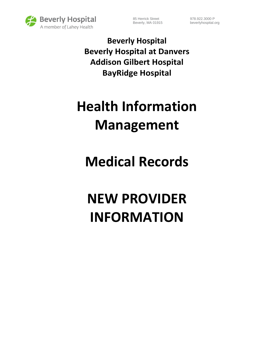

85 Herrick Street 978.922.3000 P Beverly, MA 01915 beverlyhospital.org

**Beverly Hospital Beverly Hospital at Danvers Addison Gilbert Hospital BayRidge Hospital**

## **Health Information Management**

## **Medical Records**

# **NEW PROVIDER INFORMATION**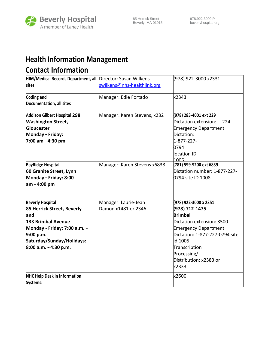

### **Health Information Management Contact Information**

| HIM/Medical Records Department, all Director: Susan Wilkens                                                                                                                            |                                             | (978) 922-3000 x2331                                                                                                                                                                                                                  |
|----------------------------------------------------------------------------------------------------------------------------------------------------------------------------------------|---------------------------------------------|---------------------------------------------------------------------------------------------------------------------------------------------------------------------------------------------------------------------------------------|
| <b>sites</b>                                                                                                                                                                           | swilkens@nhs-healthlink.org                 |                                                                                                                                                                                                                                       |
| <b>Coding and</b><br>Documentation, all sites                                                                                                                                          | Manager: Edie Fortado                       | x2343                                                                                                                                                                                                                                 |
| <b>Addison Gilbert Hospital 298</b><br><b>Washington Street,</b><br>Gloucester<br>Monday - Friday:<br>7:00 am - 4:30 pm                                                                | Manager: Karen Stevens, x232                | (978) 283-4001 ext 229<br>Dictation extension:<br>224<br><b>Emergency Department</b><br>Dictation:<br>1-877-227-<br>0794<br>location ID<br>1005                                                                                       |
| <b>BayRidge Hospital</b><br>60 Granite Street, Lynn<br>Monday - Friday: 8:00<br>am - 4:00 pm                                                                                           | Manager: Karen Stevens x6838                | (781) 599-9200 ext 6839<br>Dictation number: 1-877-227-<br>0794 site ID 1008                                                                                                                                                          |
| <b>Beverly Hospital</b><br>85 Herrick Street, Beverly<br>land<br>133 Brimbal Avenue<br>Monday - Friday: 7:00 a.m. -<br>9:00 p.m.<br>Saturday/Sunday/Holidays:<br>8:00 a.m. - 4:30 p.m. | Manager: Laurie-Jean<br>Damon x1481 or 2346 | (978) 922-3000 x 2351<br>(978) 712-1475<br><b>Brimbal</b><br>Dictation extension: 3500<br><b>Emergency Department</b><br>Dictation: 1-877-227-0794 site<br>id 1005<br>Transcription<br>Processing/<br>Distribution: x2383 or<br>x2333 |
| <b>NHC Help Desk in Information</b><br>Systems:                                                                                                                                        |                                             | x2600                                                                                                                                                                                                                                 |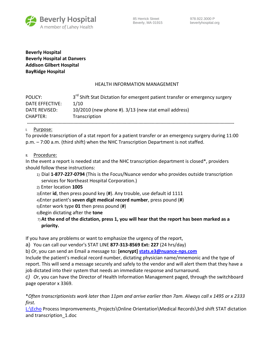

**Beverly Hospital Beverly Hospital at Danvers Addison Gilbert Hospital BayRidge Hospital**

#### HEALTH INFORMATION MANAGEMENT

| POLICY:         | 3 <sup>rd</sup> Shift Stat Dictation for emergent patient transfer or emergency surgery |
|-----------------|-----------------------------------------------------------------------------------------|
| DATE EFFECTIVE: | 1/10                                                                                    |
| DATE REVISED:   | $10/2010$ (new phone #). $3/13$ (new stat email address)                                |
| CHAPTER:        | Transcription                                                                           |

#### I. Purpose:

To provide transcription of a stat report for a patient transfer or an emergency surgery during 11:00 p.m. – 7:00 a.m. (third shift) when the NHC Transcription Department is not staffed.

II. Procedure:

In the event a report is needed stat and the NHC transcription department is closed\*, providers should follow these instructions:

- 1) Dial **1-877-227-0794** (This is the Focus/Nuance vendor who provides outside transcription services for Northeast Hospital Corporation.)
- 2) Enter location **1005**

3)Enter **id**, then press pound key (**#**). Any trouble, use default id 1111

4)Enter patient's **seven digit medical record number**, press pound (**#**)

5)Enter work type **01** then press pound (**#**)

- 6)Begin dictating after the **tone**
- 7) **At the end of the dictation, press 1, you will hear that the report has been marked as a priority.**

If you have any problems or want to emphasize the urgency of the report,

a) You can call our vendor's STAT LINE **877-313-8569 Ext: 227** (24 hrs/day)

b) *Or*, you can send an Email a message to: **[encrypt] [stats.e3@nuance-nps.com](mailto:stats.e3@nuance-nps.com)**

Include the patient's medical record number, dictating physician name/mnemonic and the type of report. This will send a message securely and safely to the vendor and will alert them that they have a job dictated into their system that needs an immediate response and turnaround.

*c) Or*, you can have the Director of Health Information Management paged, through the switchboard page operator x 3369.

\**Often transcriptionists work later than 11pm and arrive earlier than 7am. Always call x 1495 or x 2333 first.*

[L:\Echo](file:///L:/Echo) Process Impromvements\_Projects\Online Orientation\Medical Records\3rd shift STAT dictation and transcription\_1.doc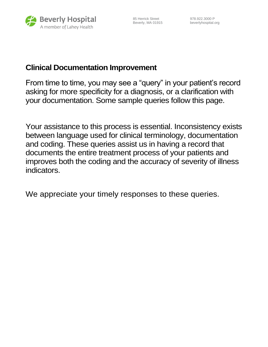

85 Herrick Street 978.922.3000 P

Beverly, MA 01915 beverlyhospital.org

### **Clinical Documentation Improvement**

From time to time, you may see a "query" in your patient's record asking for more specificity for a diagnosis, or a clarification with your documentation. Some sample queries follow this page.

Your assistance to this process is essential. Inconsistency exists between language used for clinical terminology, documentation and coding. These queries assist us in having a record that documents the entire treatment process of your patients and improves both the coding and the accuracy of severity of illness indicators.

We appreciate your timely responses to these queries.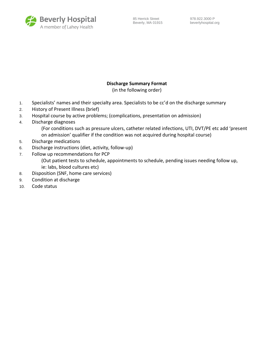

#### **Discharge Summary Format**

(in the following order)

- 1. Specialists' names and their specialty area. Specialists to be cc'd on the discharge summary
- 2. History of Present Illness (brief)
- 3. Hospital course by active problems; (complications, presentation on admission)
- 4. Discharge diagnoses
	- (For conditions such as pressure ulcers, catheter related infections, UTI, DVT/PE etc add 'present on admission' qualifier if the condition was not acquired during hospital course)
- 5. Discharge medications
- 6. Discharge instructions (diet, activity, follow-up)
- 7. Follow up recommendations for PCP
	- (Out patient tests to schedule, appointments to schedule, pending issues needing follow up, ie: labs, blood cultures etc)
- 8. Disposition (SNF, home care services)
- 9. Condition at discharge
- 10. Code status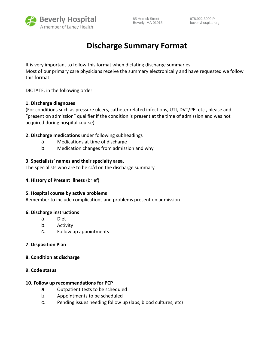

## **Discharge Summary Format**

It is very important to follow this format when dictating discharge summaries. Most of our primary care physicians receive the summary electronically and have requested we follow this format.

DICTATE, in the following order:

#### **1. Discharge diagnoses**

(For conditions such as pressure ulcers, catheter related infections, UTI, DVT/PE, etc., please add "present on admission" qualifier if the condition is present at the time of admission and was not acquired during hospital course)

#### **2. Discharge medications** under following subheadings

- a. Medications at time of discharge
- b. Medication changes from admission and why

#### **3. Specialists' names and their specialty area**.

The specialists who are to be cc'd on the discharge summary

#### **4. History of Present Illness** (brief)

#### **5. Hospital course by active problems**

Remember to include complications and problems present on admission

#### **6. Discharge instructions**

- a. Diet
- b. Activity
- c. Follow up appointments

#### **7. Disposition Plan**

#### **8. Condition at discharge**

#### **9. Code status**

#### **10. Follow up recommendations for PCP**

- a. Outpatient tests to be scheduled
- b. Appointments to be scheduled
- c. Pending issues needing follow up (labs, blood cultures, etc)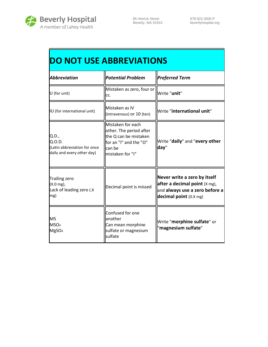

| <b>DO NOT USE ABBREVIATIONS</b>                                                 |                                                                                                                               |                                                                                                                                 |
|---------------------------------------------------------------------------------|-------------------------------------------------------------------------------------------------------------------------------|---------------------------------------------------------------------------------------------------------------------------------|
| <b>Abbreviation</b>                                                             | <b>Potential Problem</b>                                                                                                      | <b>Preferred Term</b>                                                                                                           |
| U (for unit)                                                                    | Mistaken as zero, four or<br>cc.                                                                                              | Write "unit"                                                                                                                    |
| IU (for international unit)                                                     | Mistaken as IV<br>(intravenous) or 10 (ten)                                                                                   | Write "international unit"                                                                                                      |
| Q.D.,<br>Q.O.D.<br>(Latin abbreviation for once<br>daily and every other day)   | Mistaken for each<br>other. The period after<br>the Q can be mistaken<br>for an "I" and the "O"<br>can be<br>mistaken for "I" | Write "daily" and "every other<br>day"                                                                                          |
| <b>Trailing zero</b><br>$(X.0 \text{ mg})$ ,<br>Lack of leading zero (.X<br>mg) | Decimal point is missed                                                                                                       | Never write a zero by itself<br>after a decimal point $(X \, mg)$ ,<br>and always use a zero before a<br>decimal point (0.X mg) |
| <b>MS</b><br>MSO <sub>4</sub><br>MgSO <sub>4</sub>                              | Confused for one<br>another<br>Can mean morphine<br>sulfate or magnesium<br>sulfate                                           | Write "morphine sulfate" or<br>magnesium sulfate"                                                                               |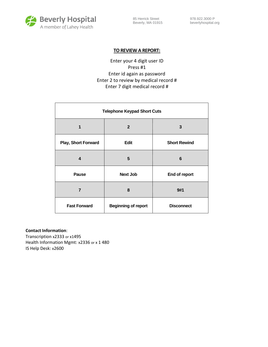

85 Herrick Street 978.922.3000 P Beverly, MA 01915 beverlyhospital.org

#### **TO REVIEW A REPORT:**

Enter your 4 digit user ID Press #1 Enter id again as password Enter 2 to review by medical record # Enter 7 digit medical record #

| <b>Telephone Keypad Short Cuts</b> |                            |                     |
|------------------------------------|----------------------------|---------------------|
| 1                                  | $\overline{2}$             | 3                   |
| <b>Play, Short Forward</b>         | Edit                       | <b>Short Rewind</b> |
| 4                                  | 5                          | 6                   |
| <b>Pause</b>                       | <b>Next Job</b>            | End of report       |
| 7                                  | 8                          | 9#1                 |
| <b>Fast Forward</b>                | <b>Beginning of report</b> | <b>Disconnect</b>   |

#### **Contact Information**:

Transcription x2333 or x1495 Health Information Mgmt: x2336 or x 1 480 IS Help Desk: x2600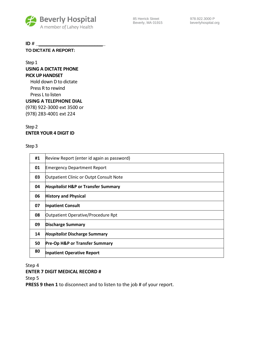

#### **ID # \_\_\_\_\_\_\_\_\_\_\_\_\_\_\_\_\_\_\_\_\_\_\_\_\_\_**

**TO DICTATE A REPORT:**

Step 1

#### **USING A DICTATE PHONE PICK UP HANDSET**

Hold down D to dictate Press R to rewind Press L to listen

**USING A TELEPHONE DIAL** 

(978) 922-3000 ext 3500 or (978) 283-4001 ext 224

#### Step 2 **ENTER YOUR 4 DIGIT ID**

#### Step 3

| #1 | Review Report (enter id again as password)     |
|----|------------------------------------------------|
| 01 | <b>Emergency Department Report</b>             |
| 03 | <b>Outpatient Clinic or Outpt Consult Note</b> |
| 04 | <b>Hospitalist H&amp;P or Transfer Summary</b> |
| 06 | <b>History and Physical</b>                    |
| 07 | <b>Inpatient Consult</b>                       |
| 08 | Outpatient Operative/Procedure Rpt             |
| 09 | <b>Discharge Summary</b>                       |
| 14 | <b>Hospitalist Discharge Summary</b>           |
| 50 | <b>Pre-Op H&amp;P or Transfer Summary</b>      |
| 80 | <b>Inpatient Operative Report</b>              |

Step 4

#### **ENTER 7 DIGIT MEDICAL RECORD #**

Step 5

**PRESS 9 then 1** to disconnect and to listen to the job # of your report.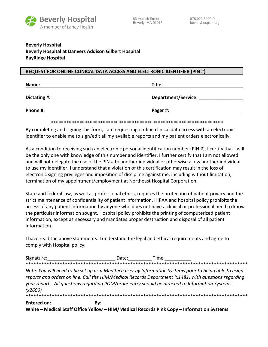

### **Beverly Hospital Beverly Hospital at Danvers Addison Gilbert Hospital BayRidge Hospital**

#### **REQUEST FOR ONLINE CLINICAL DATA ACCESS AND ELECTRONIC IDENTIFIER (PIN #)**

| Name:        | Title:              |
|--------------|---------------------|
| Dictating #: | Department/Service: |
| Phone #:     | Pager #:            |

\*\*\*\*\*\*\*\*\*\*\*\*\*\*\*\*\*\*\*\*\*\*\*\*\*\*\*\*\*\*\*\*\*\*\*\*\*\*\*\*\*\*\*\*\*\*\*\*\*\*\*\*\*\*\*\*\*\*\*\*\*\*\*\*\*\*

By completing and signing this form, I am requesting on-line clinical data access with an electronic identifier to enable me to sign/edit all my available reports and my patient orders electronically.

As a condition to receiving such an electronic personal identification number (PIN #), I certify that I will be the only one with knowledge of this number and identifier. I further certify that I am not allowed and will not delegate the use of the PIN # to another individual or otherwise allow another individual to use my identifier. I understand that a violation of this certification may result in the loss of electronic signing privileges and imposition of discipline against me, including without limitation, termination of my appointment/employment at Northeast Hospital Corporation.

State and federal law, as well as professional ethics, requires the protection of patient privacy and the strict maintenance of confidentiality of patient information. HIPAA and hospital policy prohibits the access of any patient information by anyone who does not have a clinical or professional need to know the particular information sought. Hospital policy prohibits the printing of computerized patient information, except as necessary and mandates proper destruction and disposal of all patient information.

I have read the above statements. I understand the legal and ethical requirements and agree to comply with Hospital policy.

| Signature: | Date: | Fime |
|------------|-------|------|
|            |       |      |

*Note: You will need to be set up as a Meditech user by Information Systems prior to being able to esign reports and orders on line. Call the HIM/Medical Records Department (x1481) with questions regarding your reports. All questions regarding POM/order entry should be directed to Information Systems. (x2600)* \*\*\*\*\*\*\*\*\*\*\*\*\*\*\*\*\*\*\*\*\*\*\*\*\*\*\*\*\*\*\*\*\*\*\*\*\*\*\*\*\*\*\*\*\*\*\*\*\*\*\*\*\*\*\*\*\*\*\*\*\*\*\*\*\*\*\*\*\*\*\*\*\*\*\*\*\*\*\*\*\*\*\*\*\*

**Entered on: \_\_\_\_\_\_\_\_\_\_\_\_\_\_\_ By:\_\_\_\_\_\_\_\_\_\_\_\_\_\_\_\_\_\_** 

**White – Medical Staff Office Yellow – HIM/Medical Records Pink Copy – Information Systems**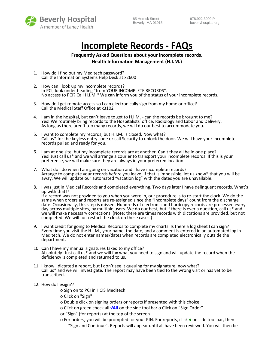

85 Herrick Street 978.922.3000 P

Beverly, MA 01915 beverlyhospital.org

## **Incomplete Records - FAQs**

#### **Frequently Asked Questions about your incomplete records. Health Information Management (H.I.M.)**

- 1. How do I find out my Meditech password? Call the Information Systems Help Desk at x2600
- 2. How can I look up my incomplete records? In PCI, look under heading "from YOUR INCOMPLETE RECORDS". No access to PCI? Call H.I.M.\* We can inform you of the status of your incomplete records.
- 3. How do I get remote access so I can electronically sign from my home or office? Call the Medical Staff Office at x3102
- 4. I am in the hospital, but can't leave to get to H.I.M. can the records be brought to me? Yes! We routinely bring records to the Hospitalists' office, Radiology and Labor and Delivery. As long as there aren't too many records, we will do our best to accommodate you.
- 5. I want to complete my records, but H.I.M. is closed. Now what? Call us\* for the keyless entry code or call Security to unlock the door. We will have your incomplete records pulled and ready for you.
- 6. I am at one site, but my incomplete records are at another. Can't they all be in one place? Yes! Just call us\* and we will arrange a courier to transport your incomplete records. If this is your preference, we will make sure they are always in your preferred location.
- 7. What do I do when I am going on vacation and I have incomplete records? Arrange to complete your records *before* you leave. If that is impossible, let us know\* that you will be away. We will update our automated "vacation log" with the dates you are unavailable.
- 8. I was just in Medical Records and completed everything. Two days later I have delinquent records. What's up with that!? If a record was not provided to you when you were in, our procedure is to re-start the clock. We do the same when orders and reports are re-assigned since the "incomplete days" count from the discharge date. Occasionally, this step is missed. Hundreds of electronic and hardcopy records are processed every day across multiple sites, by multiple users. We do our best, but if there is ever a question, call us\* and we will make necessary corrections. (Note: there are times records with dictations are provided, but not completed. We will not restart the clock on these cases.)
- 9. I want credit for going to Medical Records to complete my charts. Is there a log sheet I can sign? Every time you visit the H.I.M., your name, the date, and a comment is entered in an automated log in Meditech. We do not enter names/dates when records are completed electronically outside the department.
- 10. Can I have my manual signatures faxed to my office? Absolutely! Just call us\* and we will fax what you need to sign and will update the record when the deficiency is completed and returned to us.
- 11. I know I dictated a report, but I don't see it queuing for my signature, now what? Call us\* and we will investigate. The report may have been tied to the wrong visit or has yet to be transcribed.
- 12. How do I esign??
	- o Sign on to PCI in HCIS Meditech
	- o Click on "Sign"
	- o Double click on signing orders or reports if presented with this choice
	- o Click on green check all **√All** on the side tool bar o Click on "Sign Order"
	- or "Sign" (for reports) at the top of the screen
	- o For orders, you will be prompted for your PIN. For reports, click **√** on side tool bar, then "Sign and Continue". Reports will appear until all have been reviewed. You will then be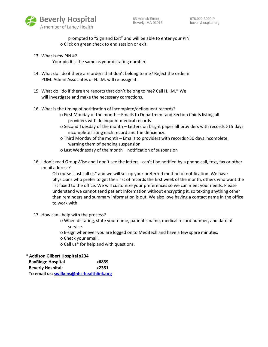

prompted to "Sign and Exit" and will be able to enter your PIN. o Click on green check to end session or exit

13. What is my PIN #?

Your pin # is the same as your dictating number.

- 14. What do I do if there are orders that don't belong to me? Reject the order in POM. Admin Associates or H.I.M. will re-assign it.
- 15. What do I do if there are reports that don't belong to me? Call H.I.M.\* We will investigate and make the necessary corrections.
- 16. What is the timing of notification of incomplete/delinquent records?
	- o First Monday of the month Emails to Department and Section Chiefs listing all providers with delinquent medical records
	- o Second Tuesday of the month Letters on bright paper all providers with records >15 days incomplete listing each record and the deficiency.
	- o Third Monday of the month Emails to providers with records >30 days incomplete, warning them of pending suspension
	- o Last Wednesday of the month notification of suspension
- 16. I don't read GroupWise and I don't see the letters can't I be notified by a phone call, text, fax or other email address?

Of course! Just call us\* and we will set up your preferred method of notification. We have physicians who prefer to get their list of records the first week of the month, others who want the list faxed to the office. We will customize your preferences so we can meet your needs. Please understand we cannot send patient information without encrypting it, so texting anything other than reminders and summary information is out. We also love having a contact name in the office to work with.

- 17. How can I help with the process?
	- o When dictating, state your name, patient's name, medical record number, and date of service.
	- o E-sign whenever you are logged on to Meditech and have a few spare minutes.
	- o Check your email.
	- o Call us\* for help and with questions.

**\* Addison Gilbert Hospital x234**

| <b>BayRidge Hospital</b>                 | x6839 |
|------------------------------------------|-------|
| <b>Beverly Hospital:</b>                 | x2351 |
| To email us: swilkens@nhs-healthlink.org |       |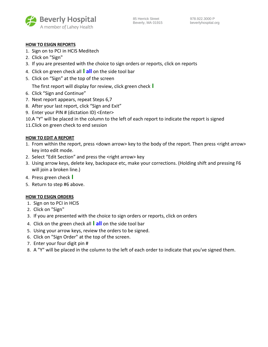

#### **HOW TO ESIGN REPORTS**

- 1. Sign on to PCI in HCIS Meditech
- 2. Click on "Sign"
- 3. If you are presented with the choice to sign orders or reports, click on reports
- 4. Click on green check all **I all** on the side tool bar
- 5. Click on "Sign" at the top of the screen
	- The first report will display for review, click green check **I**
- 6. Click "Sign and Continue"
- 7. Next report appears, repeat Steps 6,7
- 8. After your last report, click "Sign and Exit"
- 9. Enter your PIN # (dictation ID) <Enter>
- 10.A "Y" will be placed in the column to the left of each report to indicate the report is signed
- 11.Click on green check to end session

#### **HOW TO EDIT A REPORT**

- 1. From within the report, press <down arrow> key to the body of the report. Then press <right arrow> key into edit mode.
- 2. Select "Edit Section" and press the <right arrow> key
- 3. Using arrow keys, delete key, backspace etc, make your corrections. (Holding shift and pressing F6 will join a broken line.)
- 4. Press green check **I**
- 5. Return to step #6 above.

#### **HOW TO ESIGN ORDERS**

- 1. Sign on to PCI in HCIS
- 2. Click on "Sign"
- 3. If you are presented with the choice to sign orders or reports, click on orders
- 4. Click on the green check all **I all** on the side tool bar
- 5. Using your arrow keys, review the orders to be signed.
- 6. Click on "Sign Order" at the top of the screen.
- 7. Enter your four digit pin #
- 8. A "Y" will be placed in the column to the left of each order to indicate that you've signed them.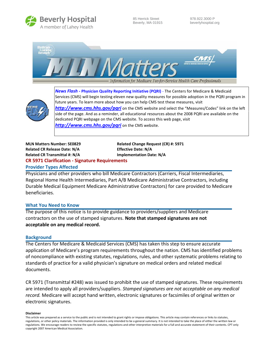

85 Herrick Street 978.922.3000 P





*News Flash -* **Physician Quality Reporting Initiative (PQRI)** - The Centers for Medicare & Medicaid Services (CMS) will begin testing eleven new quality measures for possible adoption in the PQRI program in future years. To learn more about how you can help CMS test these measures, visit *<http://www.cms.hhs.gov/pqri>* on the CMS website and select the "Measures/Codes" link on the left side of the page. And as a reminder, all educational resources about the 2008 PQRI are available on the

dedicated PQRI webpage on the CMS website. To access this web page, visit

*<http://www.cms.hhs.gov/pqri>* on the CMS website.

### **MLN Matters Number: SE0829 Related Change Request (CR) #: 5971 Related CR Release Date: N/A Effective Date: N/A Related CR Transmittal #: N/A Implementation Date: N/A CR 5971 Clarification - Signature Requirements**

**Provider Types Affected** Physicians and other providers who bill Medicare Contractors (Carriers, Fiscal Intermediaries, Regional Home Health Intermediaries, Part A/B Medicare Administrative Contractors, including Durable Medical Equipment Medicare Administrative Contractors) for care provided to Medicare

#### **What You Need to Know**

The purpose of this notice is to provide guidance to providers/suppliers and Medicare contractors on the use of stamped signatures. **Note that stamped signatures are not acceptable on any medical record.**

#### **Background**

beneficiaries.

The Centers for Medicare & Medicaid Services (CMS) has taken this step to ensure accurate application of Medicare's program requirements throughout the nation. CMS has identified problems of noncompliance with existing statutes, regulations, rules, and other systematic problems relating to standards of practice for a valid physician's signature on medical orders and related medical documents.

CR 5971 (Transmittal #248) was issued to prohibit the use of stamped signatures. These requirements are intended to apply all providers/suppliers. *Stamped signatures are not acceptable on any medical record.* Medicare will accept hand written, electronic signatures or facsimiles of original written or electronic signatures.

#### **Disclaimer**

This article was prepared as a service to the public and is not intended to grant rights or impose obligations. This article may contain references or links to statutes, regulations, or other policy materials. The information provided is only intended to be a general summary. It is not intended to take the place of either the written law or regulations. We encourage readers to review the specific statutes, regulations and other interpretive materials for a full and accurate statement of their contents. CPT only copyright 2007 American Medical Association.